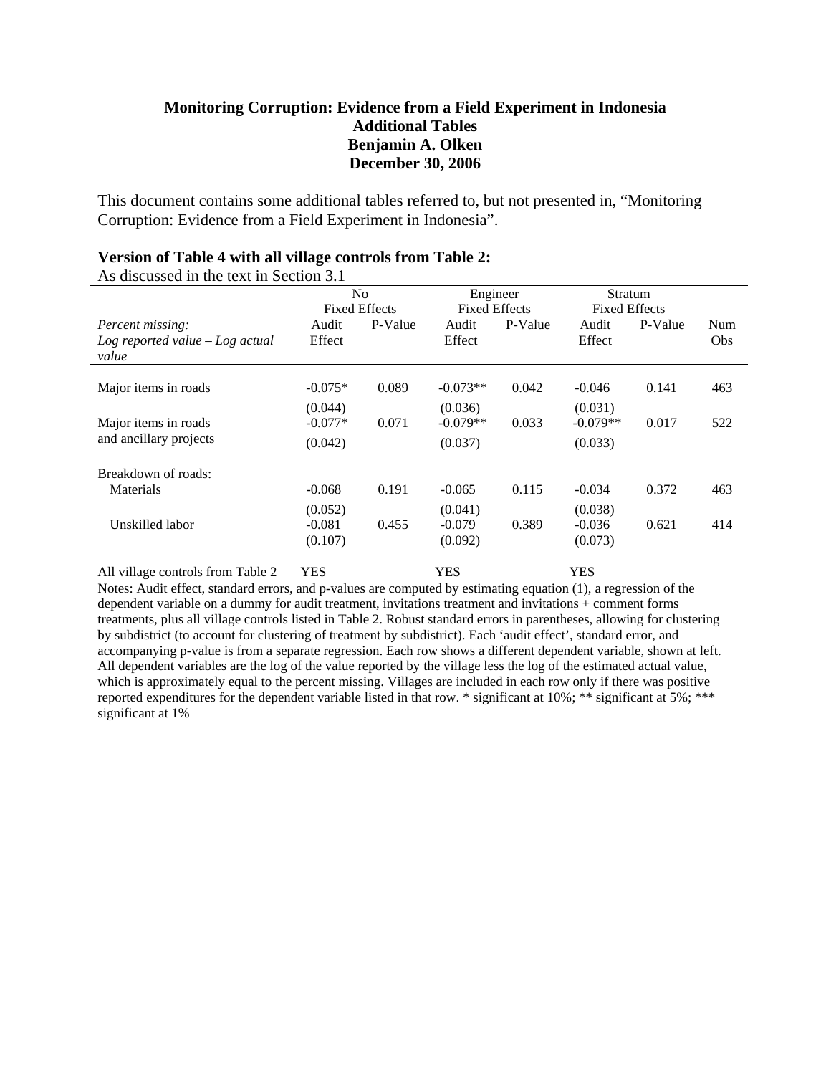#### **Monitoring Corruption: Evidence from a Field Experiment in Indonesia Additional Tables Benjamin A. Olken December 30, 2006**

This document contains some additional tables referred to, but not presented in, "Monitoring Corruption: Evidence from a Field Experiment in Indonesia".

#### **Version of Table 4 with all village controls from Table 2:**

| As discussed in the text in Section 5.1 |                |                      |                      |          |                      |         |     |  |
|-----------------------------------------|----------------|----------------------|----------------------|----------|----------------------|---------|-----|--|
|                                         | N <sub>0</sub> |                      |                      | Engineer |                      | Stratum |     |  |
|                                         |                | <b>Fixed Effects</b> | <b>Fixed Effects</b> |          | <b>Fixed Effects</b> |         |     |  |
| <i>Percent missing:</i>                 | Audit          | P-Value              | Audit                | P-Value  | Audit                | P-Value | Num |  |
| $Log$ reported value $-Log$ actual      | Effect         |                      | Effect               |          | Effect               |         | Obs |  |
| value                                   |                |                      |                      |          |                      |         |     |  |
|                                         |                |                      |                      |          |                      |         |     |  |
| Major items in roads                    | $-0.075*$      | 0.089                | $-0.073**$           | 0.042    | $-0.046$             | 0.141   | 463 |  |
|                                         | (0.044)        |                      | (0.036)              |          | (0.031)              |         |     |  |
| Major items in roads                    | $-0.077*$      | 0.071                | $-0.079**$           | 0.033    | $-0.079**$           | 0.017   | 522 |  |
| and ancillary projects                  | (0.042)        |                      | (0.037)              |          | (0.033)              |         |     |  |
| Breakdown of roads:                     |                |                      |                      |          |                      |         |     |  |
| Materials                               | $-0.068$       | 0.191                | $-0.065$             | 0.115    | $-0.034$             | 0.372   | 463 |  |
|                                         | (0.052)        |                      | (0.041)              |          | (0.038)              |         |     |  |
| Unskilled labor                         | $-0.081$       | 0.455                | $-0.079$             | 0.389    | $-0.036$             | 0.621   | 414 |  |
|                                         | (0.107)        |                      | (0.092)              |          | (0.073)              |         |     |  |
| All village controls from Table 2       | <b>YES</b>     |                      | <b>YES</b>           |          | <b>YES</b>           |         |     |  |

 $\Lambda$ s discussed in the text in Section

Notes: Audit effect, standard errors, and p-values are computed by estimating equation (1), a regression of the dependent variable on a dummy for audit treatment, invitations treatment and invitations + comment forms treatments, plus all village controls listed in Table 2. Robust standard errors in parentheses, allowing for clustering by subdistrict (to account for clustering of treatment by subdistrict). Each 'audit effect', standard error, and accompanying p-value is from a separate regression. Each row shows a different dependent variable, shown at left. All dependent variables are the log of the value reported by the village less the log of the estimated actual value, which is approximately equal to the percent missing. Villages are included in each row only if there was positive reported expenditures for the dependent variable listed in that row. \* significant at 10%; \*\* significant at 5%; \*\*\* significant at 1%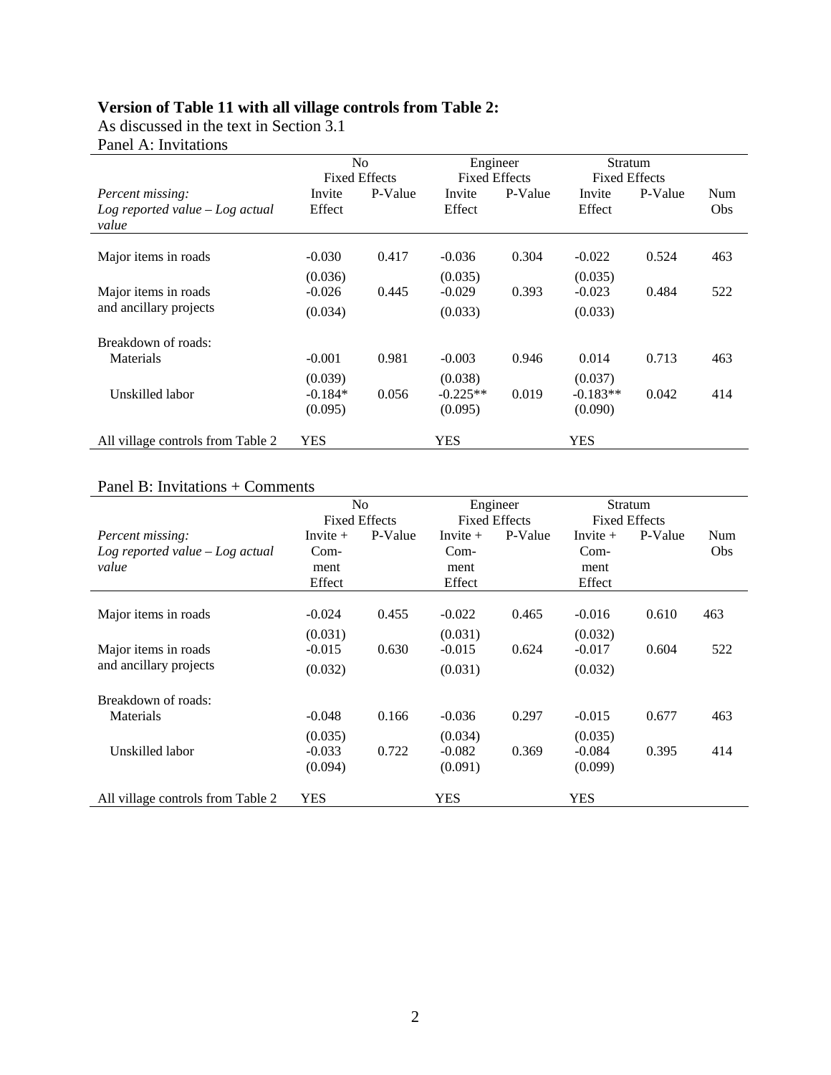## **Version of Table 11 with all village controls from Table 2:**

As discussed in the text in Section 3.1

Panel A: Invitations

|                                             | N <sub>0</sub> |                      | Engineer             |         | Stratum              |         |     |  |
|---------------------------------------------|----------------|----------------------|----------------------|---------|----------------------|---------|-----|--|
|                                             |                | <b>Fixed Effects</b> | <b>Fixed Effects</b> |         | <b>Fixed Effects</b> |         |     |  |
| <i>Percent missing:</i>                     | Invite         | P-Value              | Invite               | P-Value | Invite               | P-Value | Num |  |
| $Log$ reported value $-Log$ actual<br>value | Effect         |                      | Effect               |         | Effect               |         | Obs |  |
| Major items in roads                        | $-0.030$       | 0.417                | $-0.036$             | 0.304   | $-0.022$             | 0.524   | 463 |  |
|                                             | (0.036)        |                      | (0.035)              |         | (0.035)              |         |     |  |
| Major items in roads                        | $-0.026$       | 0.445                | $-0.029$             | 0.393   | $-0.023$             | 0.484   | 522 |  |
| and ancillary projects                      | (0.034)        |                      | (0.033)              |         | (0.033)              |         |     |  |
| Breakdown of roads:                         |                |                      |                      |         |                      |         |     |  |
| Materials                                   | $-0.001$       | 0.981                | $-0.003$             | 0.946   | 0.014                | 0.713   | 463 |  |
|                                             | (0.039)        |                      | (0.038)              |         | (0.037)              |         |     |  |
| Unskilled labor                             | $-0.184*$      | 0.056                | $-0.225**$           | 0.019   | $-0.183**$           | 0.042   | 414 |  |
|                                             | (0.095)        |                      | (0.095)              |         | (0.090)              |         |     |  |
| All village controls from Table 2           | <b>YES</b>     |                      | <b>YES</b>           |         | <b>YES</b>           |         |     |  |

### Panel B: Invitations + Comments

|                                    | N <sub>o</sub> |                                              |            | Engineer |                      | Stratum |            |
|------------------------------------|----------------|----------------------------------------------|------------|----------|----------------------|---------|------------|
|                                    |                | <b>Fixed Effects</b><br><b>Fixed Effects</b> |            |          | <b>Fixed Effects</b> |         |            |
| <i>Percent missing:</i>            | Invite $+$     | P-Value                                      | Invite $+$ | P-Value  | Invite $+$           | P-Value | <b>Num</b> |
| $Log$ reported value $-Log$ actual | $Com-$         |                                              | $Com-$     |          | $Com-$               |         | Obs        |
| value                              | ment           |                                              | ment       |          | ment                 |         |            |
|                                    | Effect         |                                              | Effect     |          | Effect               |         |            |
|                                    |                |                                              |            |          |                      |         |            |
| Major items in roads               | $-0.024$       | 0.455                                        | $-0.022$   | 0.465    | $-0.016$             | 0.610   | 463        |
|                                    | (0.031)        |                                              | (0.031)    |          | (0.032)              |         |            |
| Major items in roads               | $-0.015$       | 0.630                                        | $-0.015$   | 0.624    | $-0.017$             | 0.604   | 522        |
| and ancillary projects             | (0.032)        |                                              | (0.031)    |          | (0.032)              |         |            |
| Breakdown of roads:                |                |                                              |            |          |                      |         |            |
| Materials                          | $-0.048$       | 0.166                                        | $-0.036$   | 0.297    | $-0.015$             | 0.677   | 463        |
|                                    | (0.035)        |                                              | (0.034)    |          | (0.035)              |         |            |
| Unskilled labor                    | $-0.033$       | 0.722                                        | $-0.082$   | 0.369    | $-0.084$             | 0.395   | 414        |
|                                    | (0.094)        |                                              | (0.091)    |          | (0.099)              |         |            |
| All village controls from Table 2  | <b>YES</b>     |                                              | YES        |          | <b>YES</b>           |         |            |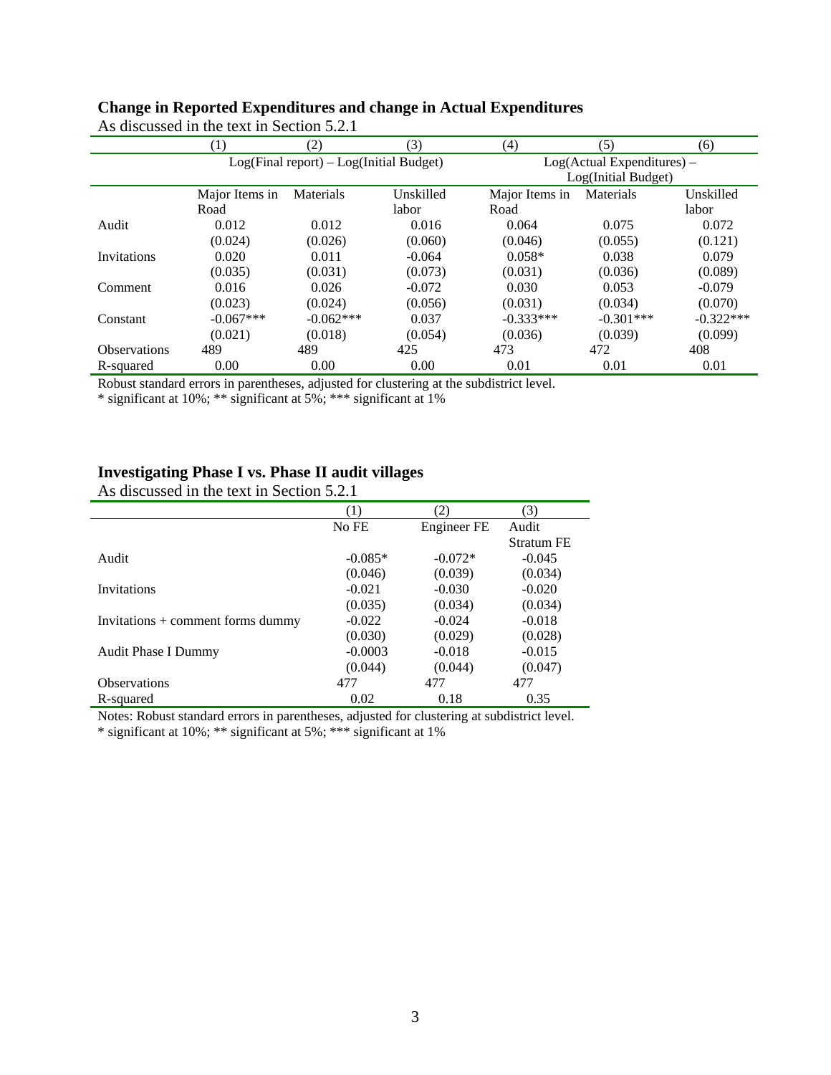|                     | (1)                                       | (2)         | (3)       | (4)            | (5)                             | (6)         |  |  |
|---------------------|-------------------------------------------|-------------|-----------|----------------|---------------------------------|-------------|--|--|
|                     | $Log(Final report) - Log(Initial Budget)$ |             |           |                | $Log(Actual$ Expenditures $)$ – |             |  |  |
|                     |                                           |             |           |                | Log(Initial Budget)             |             |  |  |
|                     | Major Items in                            | Materials   | Unskilled | Major Items in | Materials                       | Unskilled   |  |  |
|                     | Road                                      |             | labor     | Road           |                                 | labor       |  |  |
| Audit               | 0.012                                     | 0.012       | 0.016     | 0.064          | 0.075                           | 0.072       |  |  |
|                     | (0.024)                                   | (0.026)     | (0.060)   | (0.046)        | (0.055)                         | (0.121)     |  |  |
| Invitations         | 0.020                                     | 0.011       | $-0.064$  | $0.058*$       | 0.038                           | 0.079       |  |  |
|                     | (0.035)                                   | (0.031)     | (0.073)   | (0.031)        | (0.036)                         | (0.089)     |  |  |
| Comment             | 0.016                                     | 0.026       | $-0.072$  | 0.030          | 0.053                           | $-0.079$    |  |  |
|                     | (0.023)                                   | (0.024)     | (0.056)   | (0.031)        | (0.034)                         | (0.070)     |  |  |
| Constant            | $-0.067***$                               | $-0.062***$ | 0.037     | $-0.333***$    | $-0.301***$                     | $-0.322***$ |  |  |
|                     | (0.021)                                   | (0.018)     | (0.054)   | (0.036)        | (0.039)                         | (0.099)     |  |  |
| <b>Observations</b> | 489                                       | 489         | 425       | 473            | 472                             | 408         |  |  |
| R-squared           | 0.00                                      | 0.00        | 0.00      | 0.01           | 0.01                            | 0.01        |  |  |

## **Change in Reported Expenditures and change in Actual Expenditures**

As discussed in the text in Section 5.2.1

Robust standard errors in parentheses, adjusted for clustering at the subdistrict level.

\* significant at 10%; \*\* significant at 5%; \*\*\* significant at 1%

## **Investigating Phase I vs. Phase II audit villages**

As discussed in the text in Section 5.2.1

|                                     |           | 2)          | 3)                |
|-------------------------------------|-----------|-------------|-------------------|
|                                     | No FE     | Engineer FE | Audit             |
|                                     |           |             | <b>Stratum FE</b> |
| Audit                               | $-0.085*$ | $-0.072*$   | $-0.045$          |
|                                     | (0.046)   | (0.039)     | (0.034)           |
| Invitations                         | $-0.021$  | $-0.030$    | $-0.020$          |
|                                     | (0.035)   | (0.034)     | (0.034)           |
| $Invitations + comment forms dummy$ | $-0.022$  | $-0.024$    | $-0.018$          |
|                                     | (0.030)   | (0.029)     | (0.028)           |
| <b>Audit Phase I Dummy</b>          | $-0.0003$ | $-0.018$    | $-0.015$          |
|                                     | (0.044)   | (0.044)     | (0.047)           |
| <b>Observations</b>                 | 477       | 477         | 477               |
| R-squared                           | 0.02      | 0.18        | 0.35              |

Notes: Robust standard errors in parentheses, adjusted for clustering at subdistrict level.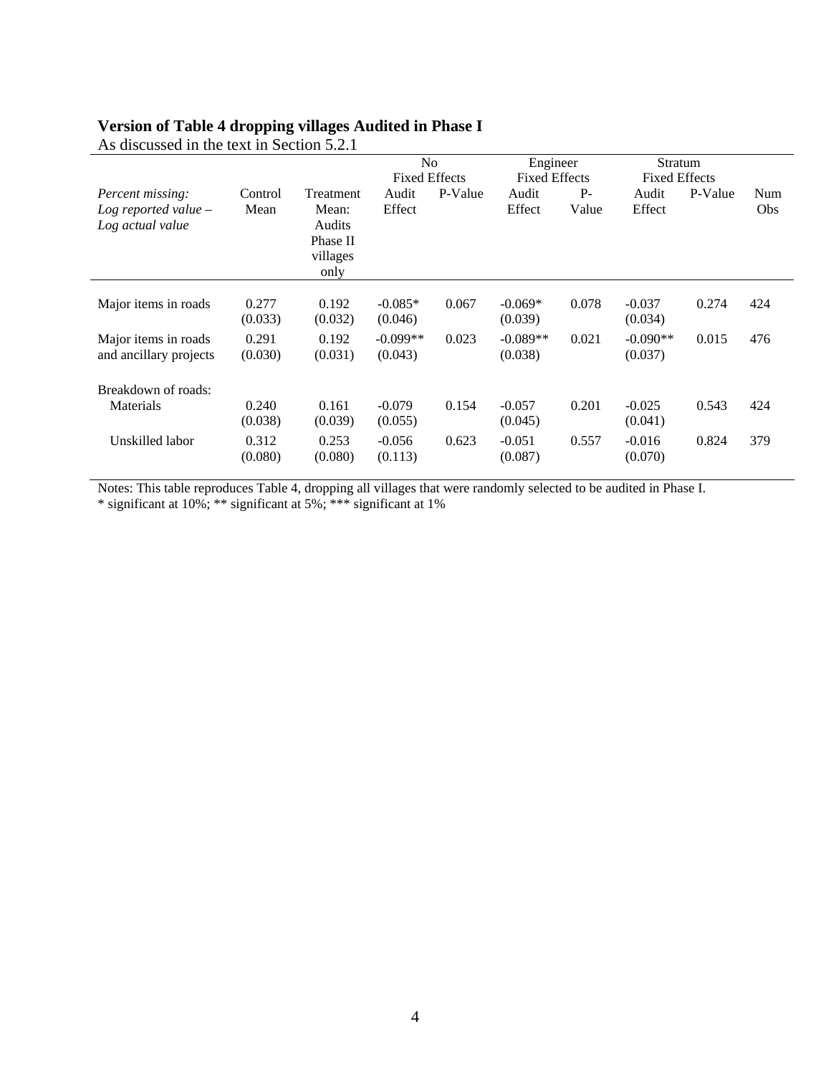### **Version of Table 4 dropping villages Audited in Phase I**

|                                                                |                  |                                                              |                       | N <sub>o</sub><br><b>Fixed Effects</b> |                       | Engineer<br><b>Fixed Effects</b> |                       | Stratum<br><b>Fixed Effects</b> |                          |
|----------------------------------------------------------------|------------------|--------------------------------------------------------------|-----------------------|----------------------------------------|-----------------------|----------------------------------|-----------------------|---------------------------------|--------------------------|
| Percent missing:<br>Log reported value $-$<br>Log actual value | Control<br>Mean  | Treatment<br>Mean:<br>Audits<br>Phase II<br>villages<br>only | Audit<br>Effect       | P-Value                                | Audit<br>Effect       | $P-$<br>Value                    | Audit<br>Effect       | P-Value                         | <b>Num</b><br><b>Obs</b> |
| Major items in roads                                           | 0.277<br>(0.033) | 0.192<br>(0.032)                                             | $-0.085*$<br>(0.046)  | 0.067                                  | $-0.069*$<br>(0.039)  | 0.078                            | $-0.037$<br>(0.034)   | 0.274                           | 424                      |
| Major items in roads<br>and ancillary projects                 | 0.291<br>(0.030) | 0.192<br>(0.031)                                             | $-0.099**$<br>(0.043) | 0.023                                  | $-0.089**$<br>(0.038) | 0.021                            | $-0.090**$<br>(0.037) | 0.015                           | 476                      |
| Breakdown of roads:                                            |                  |                                                              |                       |                                        |                       |                                  |                       |                                 |                          |
| Materials                                                      | 0.240<br>(0.038) | 0.161<br>(0.039)                                             | $-0.079$<br>(0.055)   | 0.154                                  | $-0.057$<br>(0.045)   | 0.201                            | $-0.025$<br>(0.041)   | 0.543                           | 424                      |
| Unskilled labor                                                | 0.312<br>(0.080) | 0.253<br>(0.080)                                             | $-0.056$<br>(0.113)   | 0.623                                  | $-0.051$<br>(0.087)   | 0.557                            | $-0.016$<br>(0.070)   | 0.824                           | 379                      |

As discussed in the text in Section  $\overline{5.2.1}$ 

Notes: This table reproduces Table 4, dropping all villages that were randomly selected to be audited in Phase I.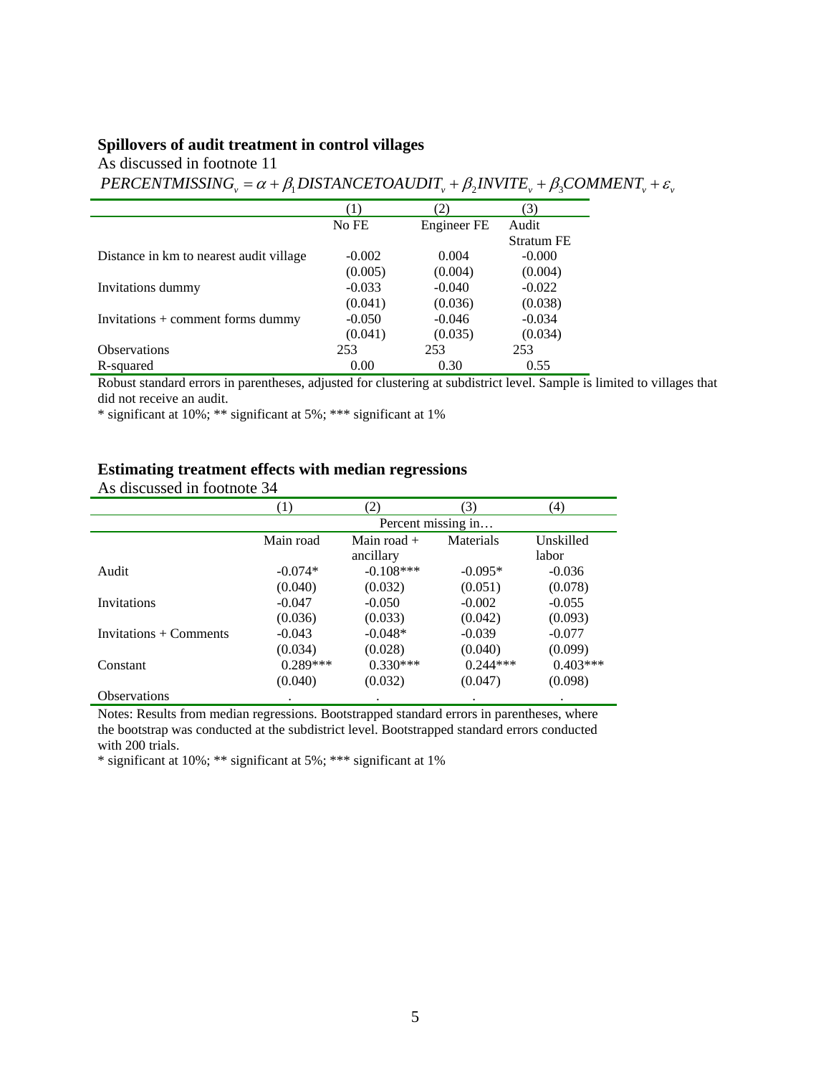#### **Spillovers of audit treatment in control villages**

As discussed in footnote 11

 $PERCENTMISSING<sub>v</sub> = \alpha + \beta_1 DISTANCETOAUDIT<sub>v</sub> + \beta_2 INVITE<sub>v</sub> + \beta_3 COMMENT<sub>v</sub> + \varepsilon<sub>v</sub>$ 

|                                         | (1)      | $\left( 2\right)$ | 3)                |
|-----------------------------------------|----------|-------------------|-------------------|
|                                         | No FE    | Engineer FE       | Audit             |
|                                         |          |                   | <b>Stratum FE</b> |
| Distance in km to nearest audit village | $-0.002$ | 0.004             | $-0.000$          |
|                                         | (0.005)  | (0.004)           | (0.004)           |
| Invitations dummy                       | $-0.033$ | $-0.040$          | $-0.022$          |
|                                         | (0.041)  | (0.036)           | (0.038)           |
| Invitations $+$ comment forms dummy     | $-0.050$ | $-0.046$          | $-0.034$          |
|                                         | (0.041)  | (0.035)           | (0.034)           |
| <b>Observations</b>                     | 253      | 253               | 253               |
| R-squared                               | 0.00     | 0.30              | 0.55              |

Robust standard errors in parentheses, adjusted for clustering at subdistrict level. Sample is limited to villages that did not receive an audit.

\* significant at 10%; \*\* significant at 5%; \*\*\* significant at 1%

#### **Estimating treatment effects with median regressions**

As discussed in footnote 34

|                        | (1)                | (2)           | (3)        | (4)        |  |  |  |  |
|------------------------|--------------------|---------------|------------|------------|--|--|--|--|
|                        | Percent missing in |               |            |            |  |  |  |  |
|                        | Main road          | Main road $+$ | Materials  | Unskilled  |  |  |  |  |
|                        |                    | ancillary     |            | labor      |  |  |  |  |
| Audit                  | $-0.074*$          | $-0.108***$   | $-0.095*$  | $-0.036$   |  |  |  |  |
|                        | (0.040)            | (0.032)       | (0.051)    | (0.078)    |  |  |  |  |
| Invitations            | $-0.047$           | $-0.050$      | $-0.002$   | $-0.055$   |  |  |  |  |
|                        | (0.036)            | (0.033)       | (0.042)    | (0.093)    |  |  |  |  |
| Invitations + Comments | $-0.043$           | $-0.048*$     | $-0.039$   | $-0.077$   |  |  |  |  |
|                        | (0.034)            | (0.028)       | (0.040)    | (0.099)    |  |  |  |  |
| Constant               | $0.289***$         | $0.330***$    | $0.244***$ | $0.403***$ |  |  |  |  |
|                        | (0.040)            | (0.032)       | (0.047)    | (0.098)    |  |  |  |  |
| <b>Observations</b>    |                    |               |            |            |  |  |  |  |

Notes: Results from median regressions. Bootstrapped standard errors in parentheses, where the bootstrap was conducted at the subdistrict level. Bootstrapped standard errors conducted with 200 trials.